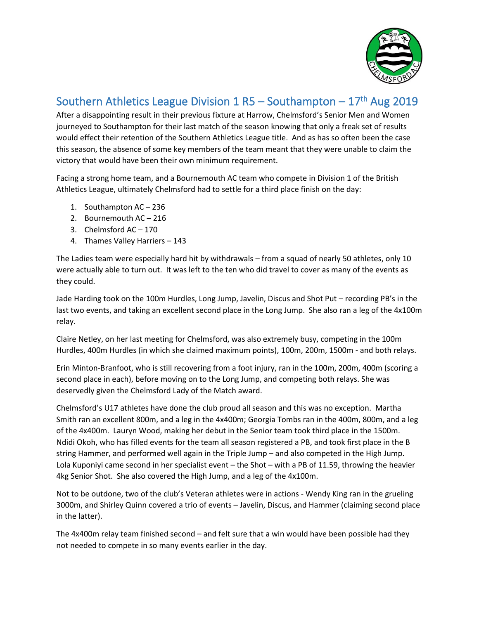

## Southern Athletics League Division 1 R5 – Southampton – 17<sup>th</sup> Aug 2019

After a disappointing result in their previous fixture at Harrow, Chelmsford's Senior Men and Women journeyed to Southampton for their last match of the season knowing that only a freak set of results would effect their retention of the Southern Athletics League title. And as has so often been the case this season, the absence of some key members of the team meant that they were unable to claim the victory that would have been their own minimum requirement.

Facing a strong home team, and a Bournemouth AC team who compete in Division 1 of the British Athletics League, ultimately Chelmsford had to settle for a third place finish on the day:

- 1. Southampton AC 236
- 2. Bournemouth AC 216
- 3. Chelmsford AC 170
- 4. Thames Valley Harriers 143

The Ladies team were especially hard hit by withdrawals – from a squad of nearly 50 athletes, only 10 were actually able to turn out. It was left to the ten who did travel to cover as many of the events as they could.

Jade Harding took on the 100m Hurdles, Long Jump, Javelin, Discus and Shot Put – recording PB's in the last two events, and taking an excellent second place in the Long Jump. She also ran a leg of the 4x100m relay.

Claire Netley, on her last meeting for Chelmsford, was also extremely busy, competing in the 100m Hurdles, 400m Hurdles (in which she claimed maximum points), 100m, 200m, 1500m - and both relays.

Erin Minton-Branfoot, who is still recovering from a foot injury, ran in the 100m, 200m, 400m (scoring a second place in each), before moving on to the Long Jump, and competing both relays. She was deservedly given the Chelmsford Lady of the Match award.

Chelmsford's U17 athletes have done the club proud all season and this was no exception. Martha Smith ran an excellent 800m, and a leg in the 4x400m; Georgia Tombs ran in the 400m, 800m, and a leg of the 4x400m. Lauryn Wood, making her debut in the Senior team took third place in the 1500m. Ndidi Okoh, who has filled events for the team all season registered a PB, and took first place in the B string Hammer, and performed well again in the Triple Jump – and also competed in the High Jump. Lola Kuponiyi came second in her specialist event – the Shot – with a PB of 11.59, throwing the heavier 4kg Senior Shot. She also covered the High Jump, and a leg of the 4x100m.

Not to be outdone, two of the club's Veteran athletes were in actions - Wendy King ran in the grueling 3000m, and Shirley Quinn covered a trio of events – Javelin, Discus, and Hammer (claiming second place in the latter).

The 4x400m relay team finished second – and felt sure that a win would have been possible had they not needed to compete in so many events earlier in the day.